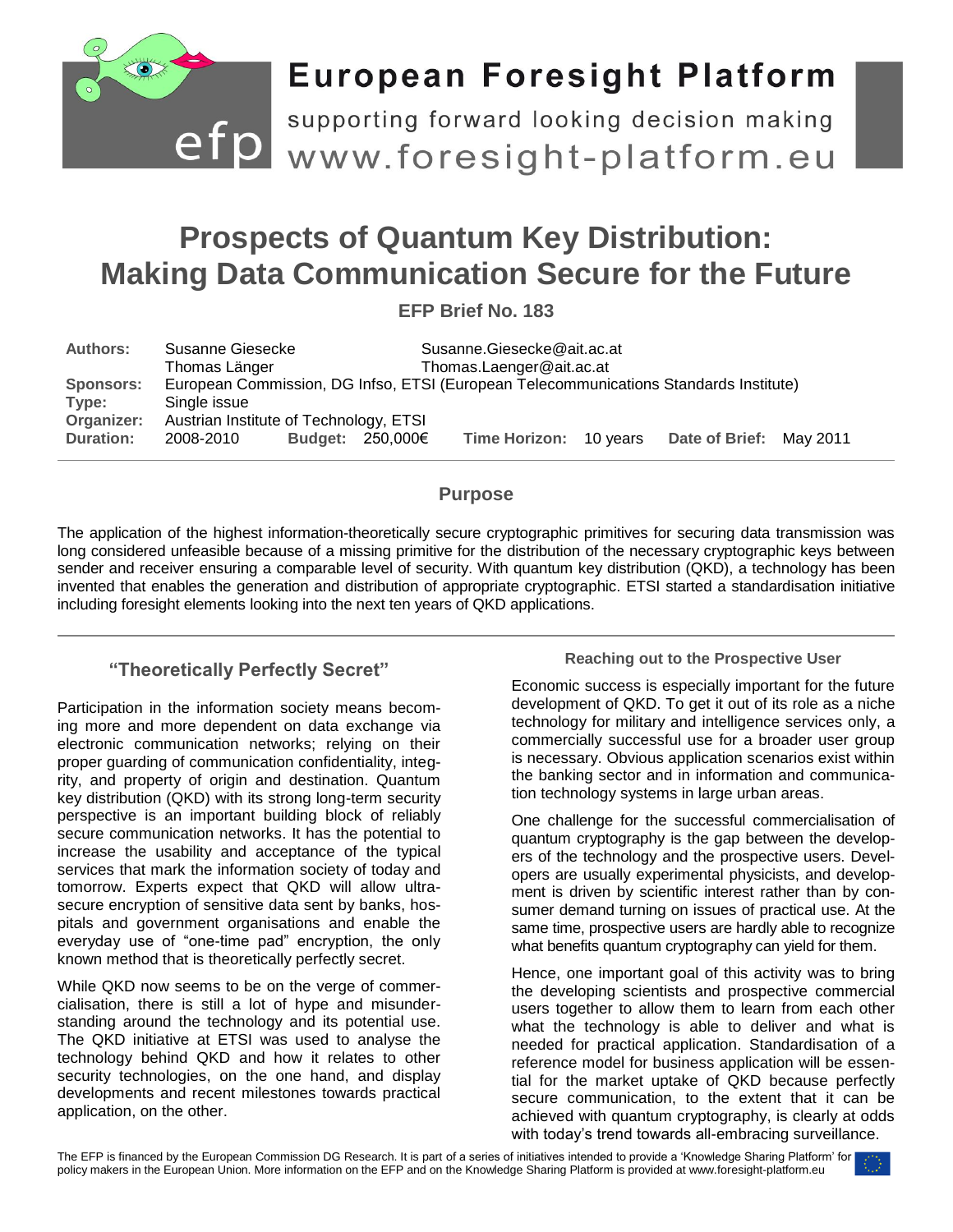

# **European Foresight Platform**

efp supporting forward looking decision making<br>www.foresight-platform.eu supporting forward looking decision making

# **Prospects of Quantum Key Distribution: Making Data Communication Secure for the Future**

**EFP Brief No. 183**

| <b>Authors:</b>  | Susanne Giesecke                                                                      |  |                       | Susanne.Giesecke@ait.ac.at |  |                         |  |  |
|------------------|---------------------------------------------------------------------------------------|--|-----------------------|----------------------------|--|-------------------------|--|--|
|                  | Thomas Länger                                                                         |  |                       | Thomas.Laenger@ait.ac.at   |  |                         |  |  |
| <b>Sponsors:</b> | European Commission, DG Infso, ETSI (European Telecommunications Standards Institute) |  |                       |                            |  |                         |  |  |
| Type:            | Single issue                                                                          |  |                       |                            |  |                         |  |  |
| Organizer:       | Austrian Institute of Technology, ETSI                                                |  |                       |                            |  |                         |  |  |
| <b>Duration:</b> | 2008-2010                                                                             |  | Budget: $250,000 \in$ | Time Horizon: 10 years     |  | Date of Brief: May 2011 |  |  |

#### **Purpose**

The application of the highest information-theoretically secure cryptographic primitives for securing data transmission was long considered unfeasible because of a missing primitive for the distribution of the necessary cryptographic keys between sender and receiver ensuring a comparable level of security. With quantum key distribution (QKD), a technology has been invented that enables the generation and distribution of appropriate cryptographic. ETSI started a standardisation initiative including foresight elements looking into the next ten years of QKD applications.

## **"Theoretically Perfectly Secret"**

Participation in the information society means becoming more and more dependent on data exchange via electronic communication networks; relying on their proper guarding of communication confidentiality, integrity, and property of origin and destination. Quantum key distribution (QKD) with its strong long-term security perspective is an important building block of reliably secure communication networks. It has the potential to increase the usability and acceptance of the typical services that mark the information society of today and tomorrow. Experts expect that QKD will allow ultrasecure encryption of sensitive data sent by banks, hospitals and government organisations and enable the everyday use of "one-time pad" encryption, the only known method that is theoretically perfectly secret.

While QKD now seems to be on the verge of commercialisation, there is still a lot of hype and misunderstanding around the technology and its potential use. The QKD initiative at ETSI was used to analyse the technology behind QKD and how it relates to other security technologies, on the one hand, and display developments and recent milestones towards practical application, on the other.

#### **Reaching out to the Prospective User**

Economic success is especially important for the future development of QKD. To get it out of its role as a niche technology for military and intelligence services only, a commercially successful use for a broader user group is necessary. Obvious application scenarios exist within the banking sector and in information and communication technology systems in large urban areas.

One challenge for the successful commercialisation of quantum cryptography is the gap between the developers of the technology and the prospective users. Developers are usually experimental physicists, and development is driven by scientific interest rather than by consumer demand turning on issues of practical use. At the same time, prospective users are hardly able to recognize what benefits quantum cryptography can yield for them.

Hence, one important goal of this activity was to bring the developing scientists and prospective commercial users together to allow them to learn from each other what the technology is able to deliver and what is needed for practical application. Standardisation of a reference model for business application will be essential for the market uptake of QKD because perfectly secure communication, to the extent that it can be achieved with quantum cryptography, is clearly at odds with today's trend towards all-embracing surveillance.

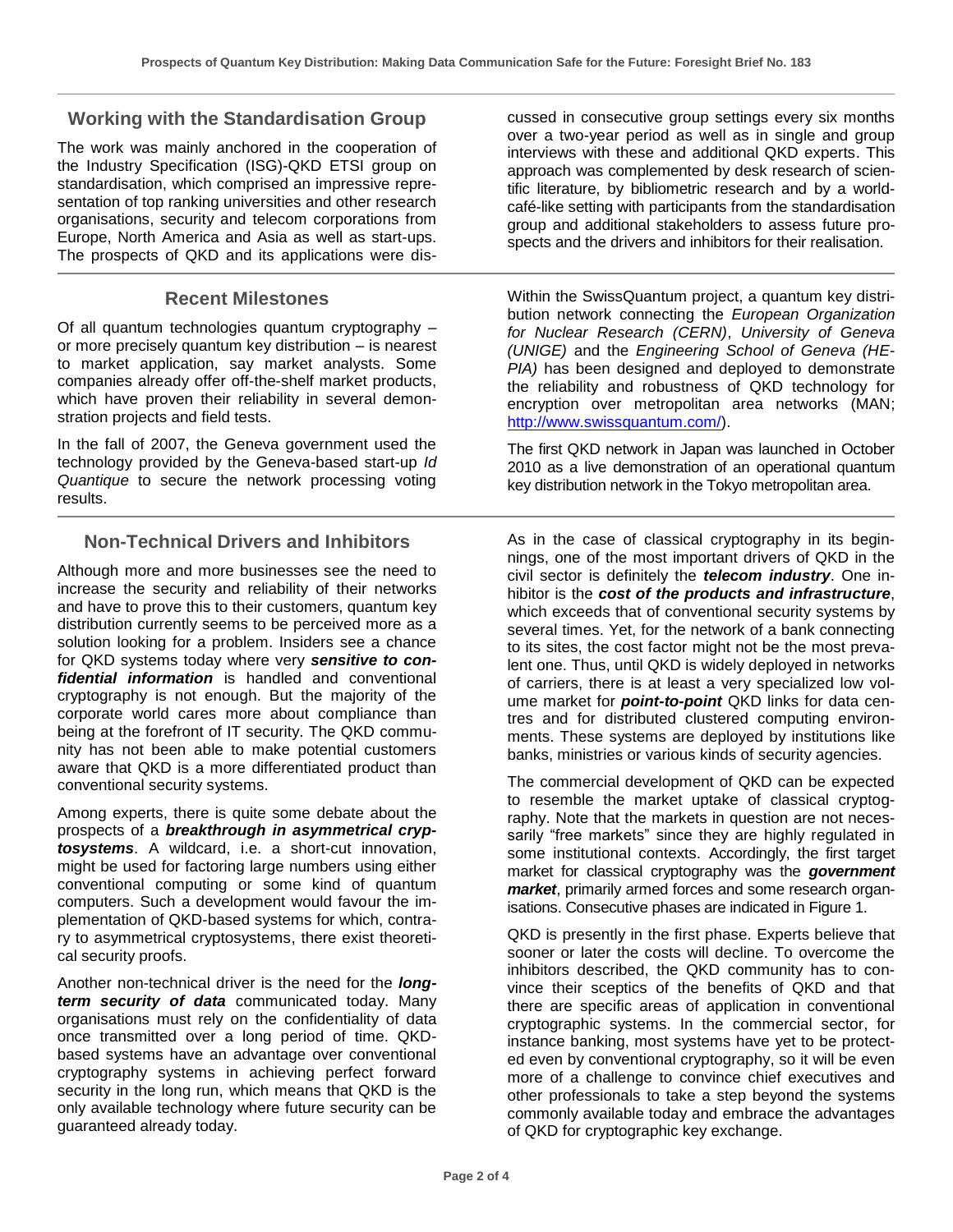### **Working with the Standardisation Group**

The work was mainly anchored in the cooperation of the Industry Specification (ISG)-QKD ETSI group on standardisation, which comprised an impressive representation of top ranking universities and other research organisations, security and telecom corporations from Europe, North America and Asia as well as start-ups. The prospects of QKD and its applications were dis-

#### **Recent Milestones**

Of all quantum technologies quantum cryptography – or more precisely quantum key distribution – is nearest to market application, say market analysts. Some companies already offer off-the-shelf market products, which have proven their reliability in several demonstration projects and field tests.

In the fall of 2007, the Geneva government used the technology provided by the Geneva-based start-up *Id Quantique* to secure the network processing voting results.

#### **Non-Technical Drivers and Inhibitors**

Although more and more businesses see the need to increase the security and reliability of their networks and have to prove this to their customers, quantum key distribution currently seems to be perceived more as a solution looking for a problem. Insiders see a chance for QKD systems today where very *sensitive to confidential information* is handled and conventional cryptography is not enough. But the majority of the corporate world cares more about compliance than being at the forefront of IT security. The QKD community has not been able to make potential customers aware that QKD is a more differentiated product than conventional security systems.

Among experts, there is quite some debate about the prospects of a *breakthrough in asymmetrical cryptosystems*. A wildcard, i.e. a short-cut innovation, might be used for factoring large numbers using either conventional computing or some kind of quantum computers. Such a development would favour the implementation of QKD-based systems for which, contrary to asymmetrical cryptosystems, there exist theoretical security proofs.

Another non-technical driver is the need for the *longterm security of data* communicated today. Many organisations must rely on the confidentiality of data once transmitted over a long period of time. QKDbased systems have an advantage over conventional cryptography systems in achieving perfect forward security in the long run, which means that QKD is the only available technology where future security can be guaranteed already today.

cussed in consecutive group settings every six months over a two-year period as well as in single and group interviews with these and additional QKD experts. This approach was complemented by desk research of scientific literature, by bibliometric research and by a worldcafé-like setting with participants from the standardisation group and additional stakeholders to assess future prospects and the drivers and inhibitors for their realisation.

Within the SwissQuantum project, a quantum key distribution network connecting the *European Organization for Nuclear Research (CERN)*, *University of Geneva (UNIGE)* and the *Engineering School of Geneva (HE-PIA)* has been designed and deployed to demonstrate the reliability and robustness of QKD technology for encryption over metropolitan area networks (MAN; [http://www.swissquantum.com/\)](http://www.swissquantum.com/).

The first QKD network in Japan was launched in October 2010 as a live demonstration of an operational quantum key distribution network in the Tokyo metropolitan area.

As in the case of classical cryptography in its beginnings, one of the most important drivers of QKD in the civil sector is definitely the *telecom industry*. One inhibitor is the *cost of the products and infrastructure*, which exceeds that of conventional security systems by several times. Yet, for the network of a bank connecting to its sites, the cost factor might not be the most prevalent one. Thus, until QKD is widely deployed in networks of carriers, there is at least a very specialized low volume market for *point-to-point* QKD links for data centres and for distributed clustered computing environments. These systems are deployed by institutions like banks, ministries or various kinds of security agencies.

The commercial development of QKD can be expected to resemble the market uptake of classical cryptography. Note that the markets in question are not necessarily "free markets" since they are highly regulated in some institutional contexts. Accordingly, the first target market for classical cryptography was the *government market*, primarily armed forces and some research organisations. Consecutive phases are indicated in Figure 1.

QKD is presently in the first phase. Experts believe that sooner or later the costs will decline. To overcome the inhibitors described, the QKD community has to convince their sceptics of the benefits of QKD and that there are specific areas of application in conventional cryptographic systems. In the commercial sector, for instance banking, most systems have yet to be protected even by conventional cryptography, so it will be even more of a challenge to convince chief executives and other professionals to take a step beyond the systems commonly available today and embrace the advantages of QKD for cryptographic key exchange.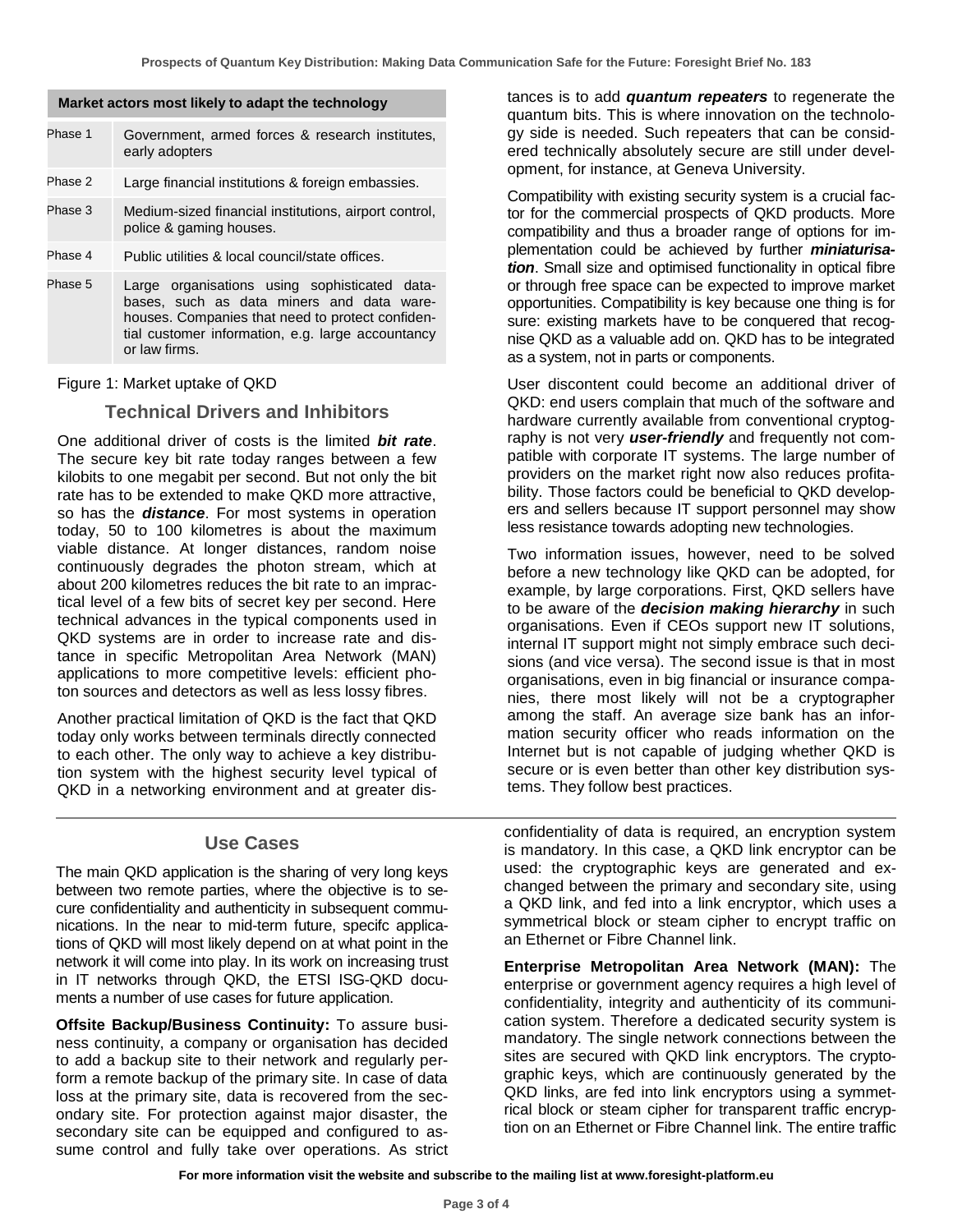| <b>Market actors most intery to adapt the technology</b> |                                                                                                                                                                                                                      |  |  |  |  |  |
|----------------------------------------------------------|----------------------------------------------------------------------------------------------------------------------------------------------------------------------------------------------------------------------|--|--|--|--|--|
| Phase 1                                                  | Government, armed forces & research institutes,<br>early adopters                                                                                                                                                    |  |  |  |  |  |
| Phase 2                                                  | Large financial institutions & foreign embassies.                                                                                                                                                                    |  |  |  |  |  |
| Phase 3                                                  | Medium-sized financial institutions, airport control,<br>police & gaming houses.                                                                                                                                     |  |  |  |  |  |
| Phase 4                                                  | Public utilities & local council/state offices.                                                                                                                                                                      |  |  |  |  |  |
| Phase 5                                                  | Large organisations using sophisticated data-<br>bases, such as data miners and data ware-<br>houses. Companies that need to protect confiden-<br>tial customer information, e.g. large accountancy<br>or law firms. |  |  |  |  |  |

**Market actors most likely to adapt the technology**

Figure 1: Market uptake of QKD

#### **Technical Drivers and Inhibitors**

One additional driver of costs is the limited *bit rate*. The secure key bit rate today ranges between a few kilobits to one megabit per second. But not only the bit rate has to be extended to make QKD more attractive, so has the *distance*. For most systems in operation today, 50 to 100 kilometres is about the maximum viable distance. At longer distances, random noise continuously degrades the photon stream, which at about 200 kilometres reduces the bit rate to an impractical level of a few bits of secret key per second. Here technical advances in the typical components used in QKD systems are in order to increase rate and distance in specific Metropolitan Area Network (MAN) applications to more competitive levels: efficient photon sources and detectors as well as less lossy fibres.

Another practical limitation of QKD is the fact that QKD today only works between terminals directly connected to each other. The only way to achieve a key distribution system with the highest security level typical of QKD in a networking environment and at greater dis-

#### **Use Cases**

The main QKD application is the sharing of very long keys between two remote parties, where the objective is to secure confidentiality and authenticity in subsequent communications. In the near to mid-term future, specifc applications of QKD will most likely depend on at what point in the network it will come into play. In its work on increasing trust in IT networks through QKD, the ETSI ISG-QKD documents a number of use cases for future application.

**Offsite Backup/Business Continuity:** To assure business continuity, a company or organisation has decided to add a backup site to their network and regularly perform a remote backup of the primary site. In case of data loss at the primary site, data is recovered from the secondary site. For protection against major disaster, the secondary site can be equipped and configured to assume control and fully take over operations. As strict tances is to add *quantum repeaters* to regenerate the quantum bits. This is where innovation on the technology side is needed. Such repeaters that can be considered technically absolutely secure are still under development, for instance, at Geneva University.

Compatibility with existing security system is a crucial factor for the commercial prospects of QKD products. More compatibility and thus a broader range of options for implementation could be achieved by further *miniaturisation*. Small size and optimised functionality in optical fibre or through free space can be expected to improve market opportunities. Compatibility is key because one thing is for sure: existing markets have to be conquered that recognise QKD as a valuable add on. QKD has to be integrated as a system, not in parts or components.

User discontent could become an additional driver of QKD: end users complain that much of the software and hardware currently available from conventional cryptography is not very *user-friendly* and frequently not compatible with corporate IT systems. The large number of providers on the market right now also reduces profitability. Those factors could be beneficial to QKD developers and sellers because IT support personnel may show less resistance towards adopting new technologies.

Two information issues, however, need to be solved before a new technology like QKD can be adopted, for example, by large corporations. First, QKD sellers have to be aware of the *decision making hierarchy* in such organisations. Even if CEOs support new IT solutions, internal IT support might not simply embrace such decisions (and vice versa). The second issue is that in most organisations, even in big financial or insurance companies, there most likely will not be a cryptographer among the staff. An average size bank has an information security officer who reads information on the Internet but is not capable of judging whether QKD is secure or is even better than other key distribution systems. They follow best practices.

confidentiality of data is required, an encryption system is mandatory. In this case, a QKD link encryptor can be used: the cryptographic keys are generated and exchanged between the primary and secondary site, using a QKD link, and fed into a link encryptor, which uses a symmetrical block or steam cipher to encrypt traffic on an Ethernet or Fibre Channel link.

**Enterprise Metropolitan Area Network (MAN):** The enterprise or government agency requires a high level of confidentiality, integrity and authenticity of its communication system. Therefore a dedicated security system is mandatory. The single network connections between the sites are secured with QKD link encryptors. The cryptographic keys, which are continuously generated by the QKD links, are fed into link encryptors using a symmetrical block or steam cipher for transparent traffic encryption on an Ethernet or Fibre Channel link. The entire traffic

**For more information visit the website and subscribe to the mailing list at www.foresight-platform.eu**